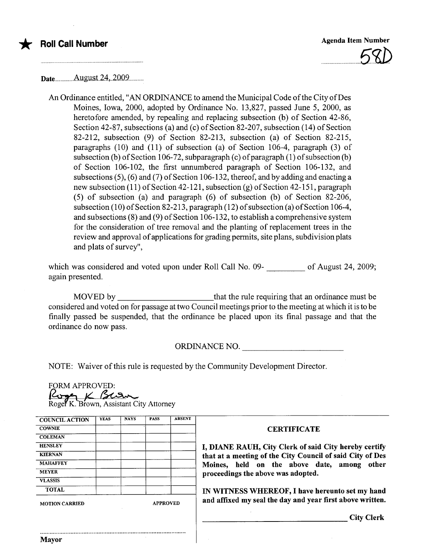

Date................Augus.t.24...2009............

An Ordinance entitled, "AN ORDINANCE to amend the Municipal Code ofthe City of Des Moines, Iowa, 2000, adopted by Ordinance No. 13,827, passed June 5, 2000, as heretofore amended, by repealing and replacing subsection (b) of Section 42-86, Section 42-87, subsections (a) and (c) of Section 82-207, subsection (14) of Section 82-212, subsection (9) of Section 82-213, subsection (a) of Section 82-215, paragraphs (10) and (11) of subsection (a) of Section 106-4, paragraph (3) of subsection (b) of Section 106-72, subparagraph (c) of paragraph (1) of subsection (b) of Section 106-102, the first unnumbered paragraph of Section 106-132, and subsections (5), (6) and (7) of Section 106-132, thereof, and by adding and enacting a new subsection (11) of Section 42-121, subsection (g) of Section 42-151, paragraph (5) of subsection (a) and paragraph (6) of subsection (b) of Section 82-206, subsection (10) of Section 82-213, paragraph (12) of subsection (a) of Section 106-4, and subsections (8) and (9) of Section 106-132, to establish a comprehensive system for the consideration of tree removal and the planting of replacement trees in the review and approval of applications for grading permits, site plans, subdivision plats and plats of survey",

which was considered and voted upon under Roll Call No. 09-<br>
<u>Consection</u> of August 24, 2009; again presented.

MOVED by that the rule requiring that an ordinance must be considered and voted on for passage at two Council meetings prior to the meeting at which it is to be finally passed be suspended, that the ordinance be placed upon its final passage and that the ordinance do now pass.

ORDINANCE NO.

NOTE: Waiver of this rule is requested by the Community Development Director.<br>FORM APPROVED:<br>Roger K. Brown, Assistant City Attorney

| <b>COWNIE</b>         |  |                 | <b>ABSENT</b> |  |
|-----------------------|--|-----------------|---------------|--|
|                       |  |                 |               |  |
| <b>COLEMAN</b>        |  |                 |               |  |
| <b>HENSLEY</b>        |  |                 |               |  |
| <b>KIERNAN</b>        |  |                 |               |  |
| <b>MAHAFFEY</b>       |  |                 |               |  |
| <b>MEYER</b>          |  |                 |               |  |
| <b>VLASSIS</b>        |  |                 |               |  |
| <b>TOTAL</b>          |  |                 |               |  |
| <b>MOTION CARRIED</b> |  | <b>APPROVED</b> |               |  |
|                       |  |                 |               |  |

## **CERTIFICATE**

I, DIANE RAUH, City Clerk of said City hereby certify that at a meeting of the City Council of said City of Des Moines, held on the above date, among other proceedings the above was adopted.

IN WITNESS WHEREOF, I have hereunto set my hand and affixed my seal the day and year first above written.

City Clerk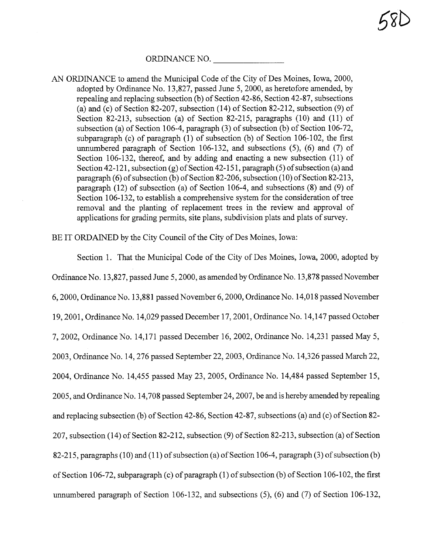ORDINANCE NO.

AN ORDINANCE to amend the Municipal Code of the City of Des Moines, Iowa, 2000, adopted by Ordinance No. 13,827, passed June 5,2000, as heretofore amended, by repealing and replacing subsection (b) of Section 42-86, Section 42-87, subsections (a) and (c) of Section 82-207, subsection (14) of Section 82-212, subsection (9) of Section 82-213, subsection (a) of Section 82-215, paragraphs (10) and (11) of subsection (a) of Section 106-4, paragraph (3) of subsection (b) of Section 106-72, subparagraph (c) of paragraph (1) of subsection (b) of Section 106-102, the first unumbered paragraph of Section 106-132, and subsections (5), (6) and (7) of Section 106-132, thereof, and by adding and enacting a new subsection (11) of Section 42-121, subsection (g) of Section 42-151, paragraph (5) of subsection (a) and paragraph (6) of subsection (b) of Section 82-206, subsection (10) of Section 82-213, paragraph (12) of subsection (a) of Section 106-4, and subsections (8) and (9) of Section 106-132, to establish a comprehensive system for the consideration of tree removal and the planting of replacement trees in the review and approval of applications for grading permits, site plans, subdivision plats and plats of surey.

BE IT ORDAINED by the City Council of the City of Des Moines, Iowa:

Section 1. That the Municipal Code of the City of Des Moines, Iowa, 2000, adopted by Ordinance No. 13,827, passed June 5, 2000, as amended by Ordinance No. 13,878 passed November 6,2000, Ordinance No. 13,881 passed November 6,2000, Ordinance No. 14,018 passed November 19,2001, Ordinance No. 14,029 passed December 17, 2001, Ordinance No. 14,147 passed October 7,2002, Ordinance No. 14,171 passed December 16,2002, Ordinance No. 14,231 passed May 5, 2003, Ordinance No. 14,276 passed September 22, 2003, Ordinance No. 14,326 passed March 22, 2004, Ordinance No. 14,455 passed May 23,2005, Ordinance No. 14,484 passed September 15, 2005, and Ordinance No. 14,708 passed September 24,2007, be and is hereby amended by repealing and replacing subsection (b) of Section 42-86, Section 42-87, subsections (a) and (c) of Section 82- 207, subsection (14) of Section 82-212, subsection (9) of Section 82-213, subsection (a) of Section 82-215, paragraphs (10) and (11) of subsection (a) of Section 106-4, paragraph (3) of subsection (b) of Section 106-72, subparagraph ( c) of paragraph (1) of subsection (b) of Section 106-102, the first unumbered paragraph of Section 106-132, and subsections (5), (6) and (7) of Section 106-132,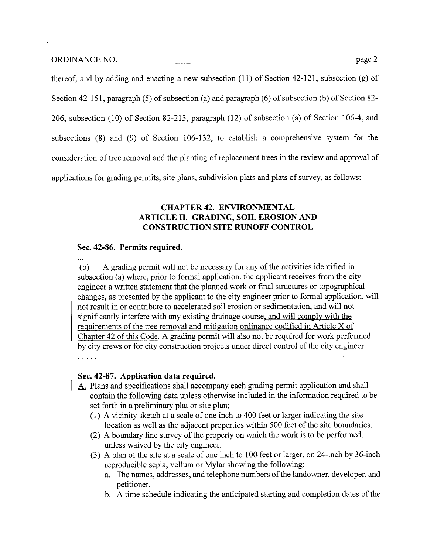ORDINANCE NO. page 2

thereof, and by adding and enacting a new subsection (11) of Section 42-121, subsection (g) of Section 42-151, paragraph (5) of subsection (a) and paragraph (6) of subsection (b) of Section 82- 206, subsection (10) of Section 82-213, paragraph (12) of subsection (a) of Section 106-4, and subsections (8) and (9) of Section 106-132, to establish a comprehensive system for the consideration of tree removal and the planting of replacement trees in the review and approval of applications for grading permits, site plans, subdivision plats and plats of surey, as follows:

## CHAPTER 42. ENVIRONMENTAL ARTICLE II. GRADING, SOIL EROSION AND CONSTRUCTION SITE RUNOFF CONTROL

#### Sec. 42-86. Permits required.

 $\ddotsc$ 

(b) A grading permit will not be necessary for any of the activities identified in subsection (a) where, prior to formal application, the applicant receives from the city engineer a written statement that the planed work or final structues or topographical changes, as presented by the applicant to the city engineer prior to formal application, will not result in or contribute to accelerated soil erosion or sedimentation, and will not significantly interfere with any existing drainage course, and will comply with the requirements of the tree removal and mitigation ordinance codified in Article X of Chapter 42 of this Code. A grading permit will also not be required for work performed by city crews or for city construction projects under direct control of the city engineer. . . . . .

#### Sec. 42-87. Application data required.

- A. Plans and specifications shall accompany each grading permit application and shall contain the following data unless otherwise included in the information required to be set forth in a preliminary plat or site plan;
	- (1) A vicinity sketch at a scale of one inch to 400 feet or larger indicating the site location as well as the adjacent properties within 500 feet of the site boundaries.
	- (2) A boundary line survey of the property on which the work is to be performed, unless waived by the city engineer.
	- (3) A plan of the site at a scale of one inch to 100 feet or larger, on 24-inch by 36-inch reproducible sepia, vellum or Mylar showing the following:
		- a. The names, addresses, and telephone numbers of the landowner, developer, and petitioner.
		- b. A time schedule indicating the anticipated staring and completion dates of the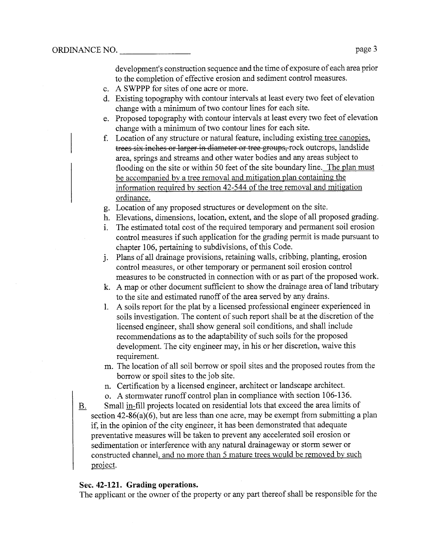development's construction sequence and the time of exposure of each area prior to the completion of effective erosion and sediment control measures.

- c. A SWPPP for sites of one acre or more.
- d. Existing topography with contour intervals at least every two feet of elevation change with a minimum of two contour lines for each site.
- e. Proposed topography with contour intervals at least every two feet of elevation change with a minmum of two contour lines for each site.
- f. Location of any structure or natural feature, including existing tree canopies. trees six inches or larger in diameter or tree groups, rock outcrops, landslide area, springs and streams and other water bodies and any areas subject to flooding on the site or within 50 feet of the site boundary line. The plan must be accompanied by a tree removal and mitigation plan containing the information required by section 42-544 of the tree removal and mitigation ordinance.
- g. Location of any proposed structures or development on the site.
- h. Elevations, dimensions, location, extent, and the slope of all proposed grading.
- i. The estimated total cost of the required temporary and permanent soil erosion control measures if such application for the grading permit is made pursuant to chapter 106, pertaining to subdivisions, of this Code.
- i. Plans of all drainage provisions, retaining walls, cribbing, planting, erosion control measures, or other temporary or permanent soil erosion control measures to be constructed in connection with or as part of the proposed work.
- k. A map or other document sufficient to show the drainage area of land tributar to the site and estimated ruoff of the area served by any drains.
- 1. A soils report for the plat by a licensed professional engineer experienced in soils investigation. The content of such report shall be at the discretion of the licensed engineer, shall show general soil conditions, and shall include recommendations as to the adaptability of such soils for the proposed development. The city engineer may, in his or her discretion, waive this requirement.
- m. The location of all soil borrow or spoil sites and the proposed routes from the borrow or spoil sites to the job site.
- n. Certification by a licensed engineer, architect or landscape architect.
- o. A stormwater ruoff control plan in compliance with section 106-136.
- B. Small in-fill projects located on residential lots that exceed the area limits of section 42-86(a)(6), but are less than one acre, may be exempt from submitting a plan if, in the opinion of the city engineer, it has been demonstrated that adequate preventative measures will be taken to prevent any accelerated soil erosion or sedimentation or interference with any natual drainageway or storm sewer or constructed channel, and no more than 5 mature trees would be removed by such project.

## Sec. 42-121. Grading operations.

The applicant or the owner of the property or any part thereof shall be responsible for the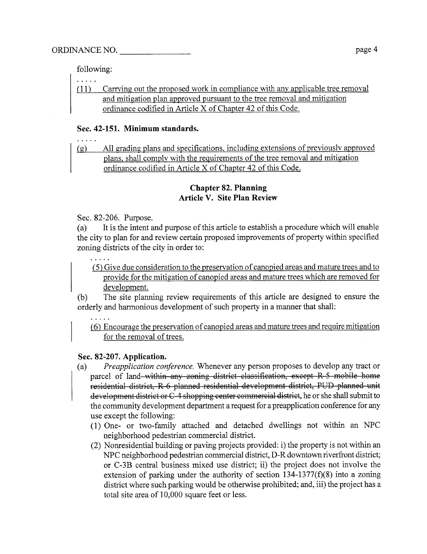following:

 $\cdots$ 

(11) Carrying out the proposed work in compliance with any applicable tree removal and mitigation plan approved pursuant to the tree removal and mitigation ordinance codified in Aricle X of Chapter 42 of this Code.

## Sec. 42-151. Minimum standards.

(g) All grading plans and specifications. including extensions of previously approved plans. shall comply with the requirements of the tree removal and mitigation ordinance codified in Article X of Chapter 42 of this Code.

## Chapter 82. Planning Article V. Site Plan Review

Sec. 82-206. Purose.

 $\mathbb{R}^2$  . The set of  $\mathbb{R}^2$ 

 $\ldots$  .

(a) It is the intent and purose of this aricle to establish a procedure which wil enable the city to plan for and review certain proposed improvements of property within specified zoning districts of the city in order to:

(5) Give due consideration to the preservation of canopied areas and matue trees and to provide for the mitigation of canopied areas and mature trees which are removed for development.

(b) The site planning review requirements of this article are designed to ensure the orderly and harmonious development of such property in a manner that shall:

(6) Encourage the preservation of canopied areas and matue trees and require mitigation for the removal of trees.

## Sec. 82-207. Application.

- (a) Preapplication conference. Whenever any person proposes to develop any tract or parcel of land within any zoning district classification, except R-5 mobile home residential district, R 6 planned residential development district, PUD planned unit development district or C-4 shopping center commercial district, he or she shall submit to the communty development deparment a request for a preapplication conference for any use except the following:
	- (1) One- or two-famly attached and detached dwellings not within an NPC neighborhood pedestrian commercial district.
	- $(2)$  Nonresidential building or paving projects provided: i) the property is not within an NPC neighborhood pedestrian commercial district, D-R downtown riverfront district; or C-3B central business mixed use district; ii) the project does not involve the extension of parking under the authority of section  $134-1377(f)(8)$  into a zoning district where such parking would be otherwise prohibited; and, iii) the project has a total site area of 10,000 square feet or less.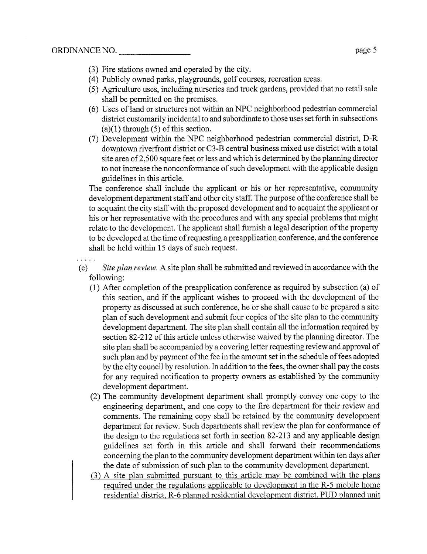- (3) Fire stations owned and operated by the city.
- (4) Publicly owned parks, playgrounds, golf courses, recreation areas.
- (5) Agriculture uses, including nurseries and truck gardens, provided that no retail sale shall be permitted on the premises.
- $(6)$  Uses of land or structures not within an NPC neighborhood pedestrian commercial district customarily incidental to and subordinate to those uses set forth in subsections  $(a)(1)$  through  $(5)$  of this section.
- (7) Development within the NPC neighborhood pedestrian commercial district, D-R downtown riverfront district or C3-B central business mixed use district with a total site area of 2,500 square feet or less and which is determined by the planning director to not increase the nonconformance of such development with the applicable design guidelines in this aricle.

The conference shall include the applicant or his or her representative, communty development deparment staff and other city staff. The purose of the conference shall be to acquaint the city staff with the proposed development and to acquaint the applicant or his or her representative with the procedures and with any special problems that might relate to the development. The applicant shall furnish a legal description of the property to be developed at the time of requesting a preapplication conference, and the conference shall be held within 15 days of such request.

(c) Site plan review. A site plan shall be submitted and reviewed in accordance with the following:

- $(1)$  After completion of the preapplication conference as required by subsection (a) of ths section, and if the applicant wishes to proceed with the development of the property as discussed at such conference, he or she shall cause to be prepared a site plan of such development and submit four copies of the site plan to the community development department. The site plan shall contain all the information required by section 82-212 of this article unless otherwise waived by the planning director. The site plan shall be accompanied by a covering letter requesting review and approval of such plan and by payment of the fee in the amount set in the schedule of fees adopted by the city council by resolution. In addition to the fees, the owner shall pay the costs for any required notification to property owners as established by the community development department.
- (2) The communty development deparment shall promptly convey one copy to the engineering department, and one copy to the fire department for their review and comments. The remaining copy shall be retained by the communty development deparment for review. Such departments shall review the plan for conformance of the design to the regulations set forth in section 82-213 and any applicable design guidelines set forth in this aricle and shall forward their recommendations concerning the plan to the community development department within ten days after the date of submission of such plan to the communty development deparment.
- (3) A site plan submitted pursuant to this article may be combined with the plans required under the regulations applicable to development in the R-5 mobile home residential district. R-6 planed residential development district. PUD planed unit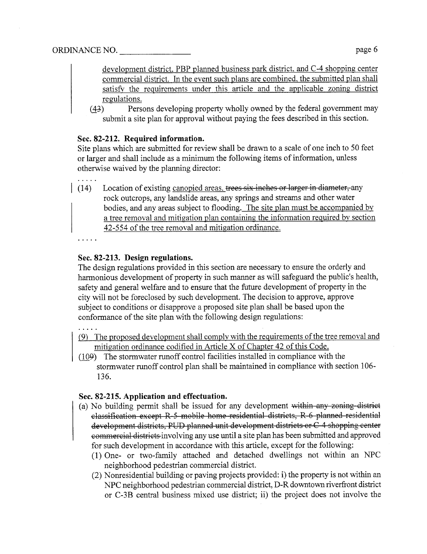development district. PBP planned business park district, and C-4 shopping center commercial district. In the event such plans are combined. the submitted plan shall satisfy the requirements under this article and the applicable zoning district regulations.

(43) Persons developing property wholly owned by the federal government may submit a site plan for approval without paying the fees described in this section.

## Sec. 82-212. Required information.

Site plans which are submitted for review shall be drawn to a scale of one inch to 50 feet or larger and shall include as a minimum the following items of information, unless otherwise waived by the planing director:

 $(14)$  Location of existing canopied areas, trees six inches or larger in diameter, any rock outcrops, any landslide areas, any springs and streams and other water bodies, and any areas subject to flooding. The site plan must be accompanied by a tree removal and mitigation plan containing the infonnation required by section 42-554 of the tree removal and mitigation ordinance.

## Sec. 82-213. Design regulations.

The design regulations provided in this section are necessary to ensure the orderly and harmonious development of property in such manner as will safeguard the public's health, safety and general welfare and to ensure that the future development of property in the city will not be foreclosed by such development. The decision to approve, approve subject to conditions or disapprove a proposed site plan shall be based upon the conformance of the site plan with the following design regulations:

```
. . . . .
```
- (9) The proposed development shall comply with the requirements of the tree removal and mitigation ordinance codified in Aricle X of Chapter 42 of this Code.
- (109) The stormwater ruoff control facilities installed in compliance with the stormwater ruoff control plan shall be maintained in compliance with section 106- 136.

## Sec. 82-215. Application and effectuation.

- (a) No building permit shall be issued for any development within any zoning district classification except R 5 mobile home residential districts, R 6 planned residential development districts, PUD planned unit development districts or C 4 shopping center commercial districts involving any use until a site plan has been submitted and approved for such development in accordance with this article, except for the following:
	- (1) One- or two-family attached and detached dwellngs not within an NPC neighborhood pedestrian commercial district.
	- $(2)$  Nonresidential building or paving projects provided: i) the property is not within an NPC neighborhood pedestrian commercial district, D-R downtown riverfront district or C-3B central business mixed use district; ii) the project does not involve the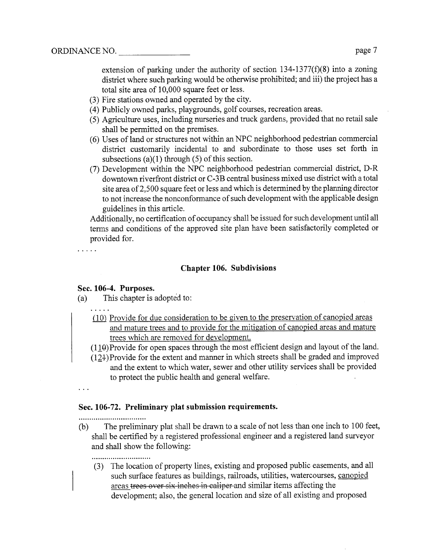extension of parking under the authority of section  $134-1377(f)(8)$  into a zoning district where such parking would be otherwise prohibited; and iii) the project has a total site area of 10,000 square feet or less.

- (3) Fire stations owned and operated by the city.
- (4) Publicly owned parks, playgrounds, golf courses, recreation areas.
- (5) Agriculture uses, including nurseries and truck gardens, provided that no retail sale shall be permitted on the premises.
- (6) Uses of land or structures not within an NPC neighborhood pedestrian commercial district customarly incidental to and subordinate to those uses set forth in subsections  $(a)(1)$  through  $(5)$  of this section.
- (7) Development within the NPC neighborhood pedestrian commercial district, D-R downtown riverfront district or C-3B central business mixed use district with a total site area of 2,500 square feet or less and which is determined by the planning director to not increase the nonconformance of such development with the applicable design guidelines in this aricle.

Additionally, no certification of occupancy shall be issued for such development until all terms and conditions of the approved site plan have been satisfactorily completed or provided for.

 $\cdot$  . . . .

## Chapter 106. Subdivisions

## Sec. 106-4. Purposes.

(a) This chapter is adopted to:

- $(10)$  Provide for due consideration to be given to the preservation of canopied areas and mature trees and to provide for the mitigation of canopied areas and mature trees which are removed for development.
- $(110)$ Provide for open spaces through the most efficient design and layout of the land.
- (12l-)Provide for the extent and maner in which streets shall be graded and improved and the extent to which water, sewer and other utility services shall be provided to protect the public health and general welfare.

 $\ddots$ 

## Sec. 106-72. Preliminary plat submission requirements.

..............................

(b) The preliminary plat shall be drawn to a scale of not less than one inch to 100 feet, shall be certified by a registered professional engineer and a registered land sureyor and shall show the following:

...........................

(3) The location of property lines, existing and proposed public easements, and all such surface features as buildings, railroads, utilities, watercourses, canopied areas trees over six inches in caliper and similar items affecting the development; also, the general location and size of all existing and proposed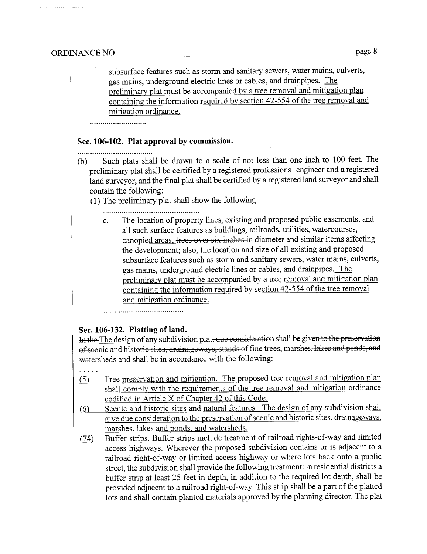i ing kabupatèn Kabupatèn Kalèndher Ka

subsurface features such as storm and sanitary sewers, water mains, culverts, gas mais, underground electric lines or cables, and drainpipes. The preliminarv plat must be accompanied by a tree removal and mitigation plan containing the information required by section 42-554 of the tree removal and mitigation ordinance.

## Sec. 106-102. Plat approval by commission.

..................................

- (b) Such plats shall be drawn to a scale of not less than one inch to 100 feet. The preliminary plat shall be certified by a registered professional engineer and a registered land sureyor, and the final plat shall be certified by a registered land sureyor and shall contain the following:
	- (1) The preliminary plat shall show the following:

c. The location of property lines, existing and proposed public easements, and all such surface featues as buildings, railroads, utilities, watercourses, canopied areas. trees over six inches in diameter and similar items affecting the development; also, the location and size of all existing and proposed subsurface features such as storm and sanitary sewers, water mains, culverts, gas mains, underground electric lines or cables, and draipipes. The preliminary plat must be accompanied by a tree removal and mitigation plan containing the information required bv section 42-554 of the tree removal and mitigation ordinance.

...............................

## Sec. 106-132. Platting of land.

In the The design of any subdivision plat, due consideration shall be given to the preservation of scenic and historic sites, drainageways, stands of fine trees, marshes, lakes and ponds, and watersheds and shall be in accordance with the following:

- . . . . .
- (5) Tree preservation and mitigation. The proposed tree removal and mitigation plan shall comply with the requirements of the tree removal and mitigation ordinance codified in Aricle X of Chapter 42 of this Code.
- (6) Scenic and historic sites and natural features. The design of any subdivision shall give due consideration to the preservation of scenic and historic sites. drainageways. marshes. lakes and ponds. and watersheds.
- (75) Buffer strips. Buffer strips include treatment of railroad rights-of-way and limited access highways. Wherever the proposed subdivision contains or is adjacent to a railroad right-of-way or limited access highway or where lots back onto a public street, the subdivision shall provide the following treatment: In residential districts a buffer strip at least 25 feet in depth, in addition to the required lot depth, shall be provided adjacent to a railroad right-of-way. This strip shall be a part of the platted lots and shall contain planted materials approved by the plang director. The plat